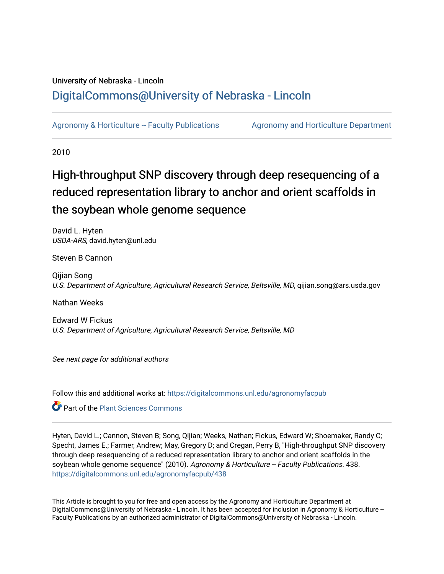# University of Nebraska - Lincoln [DigitalCommons@University of Nebraska - Lincoln](https://digitalcommons.unl.edu/)

[Agronomy & Horticulture -- Faculty Publications](https://digitalcommons.unl.edu/agronomyfacpub) Agronomy and Horticulture Department

2010

# High-throughput SNP discovery through deep resequencing of a reduced representation library to anchor and orient scaffolds in the soybean whole genome sequence

David L. Hyten USDA-ARS, david.hyten@unl.edu

Steven B Cannon

Qijian Song U.S. Department of Agriculture, Agricultural Research Service, Beltsville, MD, qijian.song@ars.usda.gov

Nathan Weeks

Edward W Fickus U.S. Department of Agriculture, Agricultural Research Service, Beltsville, MD

See next page for additional authors

Follow this and additional works at: [https://digitalcommons.unl.edu/agronomyfacpub](https://digitalcommons.unl.edu/agronomyfacpub?utm_source=digitalcommons.unl.edu%2Fagronomyfacpub%2F438&utm_medium=PDF&utm_campaign=PDFCoverPages)

**Part of the [Plant Sciences Commons](http://network.bepress.com/hgg/discipline/102?utm_source=digitalcommons.unl.edu%2Fagronomyfacpub%2F438&utm_medium=PDF&utm_campaign=PDFCoverPages)** 

Hyten, David L.; Cannon, Steven B; Song, Qijian; Weeks, Nathan; Fickus, Edward W; Shoemaker, Randy C; Specht, James E.; Farmer, Andrew; May, Gregory D; and Cregan, Perry B, "High-throughput SNP discovery through deep resequencing of a reduced representation library to anchor and orient scaffolds in the soybean whole genome sequence" (2010). Agronomy & Horticulture -- Faculty Publications. 438. [https://digitalcommons.unl.edu/agronomyfacpub/438](https://digitalcommons.unl.edu/agronomyfacpub/438?utm_source=digitalcommons.unl.edu%2Fagronomyfacpub%2F438&utm_medium=PDF&utm_campaign=PDFCoverPages)

This Article is brought to you for free and open access by the Agronomy and Horticulture Department at DigitalCommons@University of Nebraska - Lincoln. It has been accepted for inclusion in Agronomy & Horticulture -- Faculty Publications by an authorized administrator of DigitalCommons@University of Nebraska - Lincoln.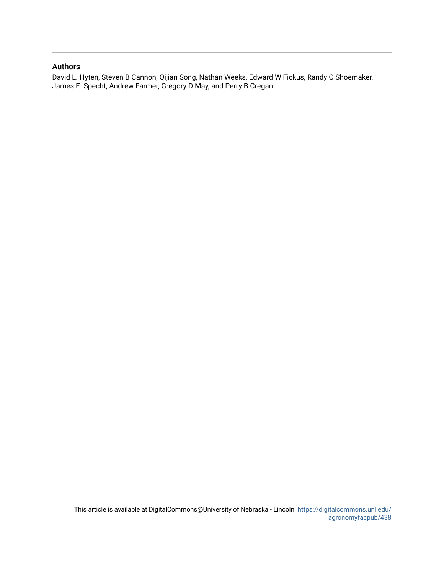# Authors

David L. Hyten, Steven B Cannon, Qijian Song, Nathan Weeks, Edward W Fickus, Randy C Shoemaker, James E. Specht, Andrew Farmer, Gregory D May, and Perry B Cregan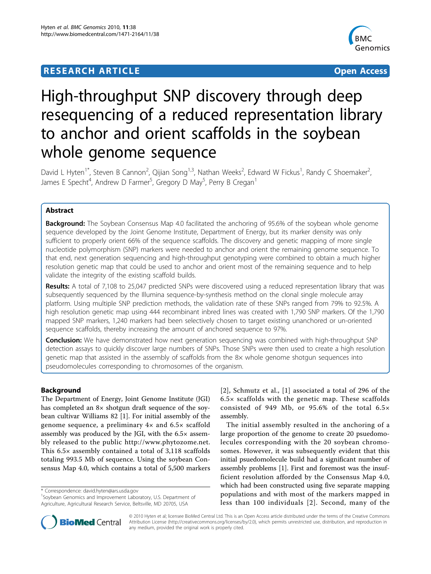# **RESEARCH ARTICLE Example 2018 CONSUMING ACCESS**



# High-throughput SNP discovery through deep resequencing of a reduced representation library to anchor and orient scaffolds in the soybean whole genome sequence

David L Hyten<sup>1\*</sup>, Steven B Cannon<sup>2</sup>, Qijian Song<sup>1,3</sup>, Nathan Weeks<sup>2</sup>, Edward W Fickus<sup>1</sup>, Randy C Shoemaker<sup>2</sup> .<br>, James E Specht<sup>4</sup>, Andrew D Farmer<sup>5</sup>, Gregory D May<sup>5</sup>, Perry B Cregan<sup>1</sup>

# Abstract

**Background:** The Soybean Consensus Map 4.0 facilitated the anchoring of 95.6% of the soybean whole genome sequence developed by the Joint Genome Institute, Department of Energy, but its marker density was only sufficient to properly orient 66% of the sequence scaffolds. The discovery and genetic mapping of more single nucleotide polymorphism (SNP) markers were needed to anchor and orient the remaining genome sequence. To that end, next generation sequencing and high-throughput genotyping were combined to obtain a much higher resolution genetic map that could be used to anchor and orient most of the remaining sequence and to help validate the integrity of the existing scaffold builds.

Results: A total of 7,108 to 25,047 predicted SNPs were discovered using a reduced representation library that was subsequently sequenced by the Illumina sequence-by-synthesis method on the clonal single molecule array platform. Using multiple SNP prediction methods, the validation rate of these SNPs ranged from 79% to 92.5%. A high resolution genetic map using 444 recombinant inbred lines was created with 1,790 SNP markers. Of the 1,790 mapped SNP markers, 1,240 markers had been selectively chosen to target existing unanchored or un-oriented sequence scaffolds, thereby increasing the amount of anchored sequence to 97%.

**Conclusion:** We have demonstrated how next generation sequencing was combined with high-throughput SNP detection assays to quickly discover large numbers of SNPs. Those SNPs were then used to create a high resolution genetic map that assisted in the assembly of scaffolds from the 8× whole genome shotgun sequences into pseudomolecules corresponding to chromosomes of the organism.

# Background

The Department of Energy, Joint Genome Institute (JGI) has completed an 8× shotgun draft sequence of the soybean cultivar Williams 82 [\[1](#page-8-0)]. For initial assembly of the genome sequence, a preliminary 4× and 6.5× scaffold assembly was produced by the JGI, with the 6.5× assembly released to the public http://www.phytozome.net. This 6.5× assembly contained a total of 3,118 scaffolds totaling 993.5 Mb of sequence. Using the soybean Consensus Map 4.0, which contains a total of 5,500 markers

\* Correspondence: david.hyten@ars.usda.gov

[[2](#page-8-0)], Schmutz et al., [\[1](#page-8-0)] associated a total of 296 of the  $6.5\times$  scaffolds with the genetic map. These scaffolds consisted of 949 Mb, or 95.6% of the total 6.5× assembly.

The initial assembly resulted in the anchoring of a large proportion of the genome to create 20 psuedomolecules corresponding with the 20 soybean chromosomes. However, it was subsequently evident that this initial psuedomolecule build had a significant number of assembly problems [[1](#page-8-0)]. First and foremost was the insufficient resolution afforded by the Consensus Map 4.0, which had been constructed using five separate mapping populations and with most of the markers mapped in less than 100 individuals [[2](#page-8-0)]. Second, many of the



© 2010 Hyten et al; licensee BioMed Central Ltd. This is an Open Access article distributed under the terms of the Creative Commons Attribution License (http://creativecommons.org/licenses/by/2.0), which permits unrestricted use, distribution, and reproduction in any medium, provided the original work is properly cited.

<sup>&</sup>lt;sup>1</sup>Soybean Genomics and Improvement Laboratory, U.S. Department of Agriculture, Agricultural Research Service, Beltsville, MD 20705, USA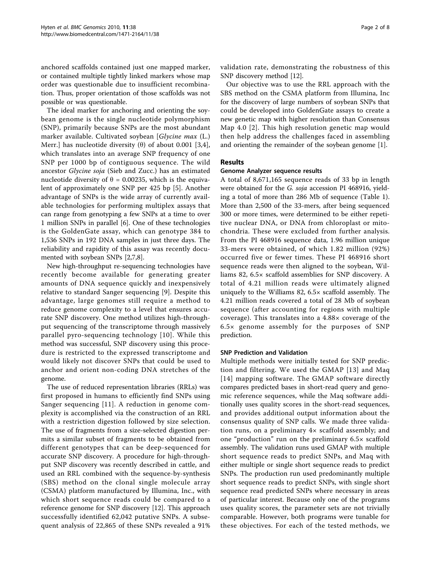anchored scaffolds contained just one mapped marker, or contained multiple tightly linked markers whose map order was questionable due to insufficient recombination. Thus, proper orientation of those scaffolds was not possible or was questionable.

The ideal marker for anchoring and orienting the soybean genome is the single nucleotide polymorphism (SNP), primarily because SNPs are the most abundant marker available. Cultivated soybean [Glycine max (L.) Merr.] has nucleotide diversity  $(\theta)$  of about 0.001 [[3,4](#page-8-0)], which translates into an average SNP frequency of one SNP per 1000 bp of contiguous sequence. The wild ancestor Glycine soja (Sieb and Zucc.) has an estimated nucleotide diversity of  $\theta = 0.00235$ , which is the equivalent of approximately one SNP per 425 bp [\[5](#page-9-0)]. Another advantage of SNPs is the wide array of currently available technologies for performing multiplex assays that can range from genotyping a few SNPs at a time to over 1 million SNPs in parallel [[6\]](#page-9-0). One of these technologies is the GoldenGate assay, which can genotype 384 to 1,536 SNPs in 192 DNA samples in just three days. The reliability and rapidity of this assay was recently documented with soybean SNPs [\[2](#page-8-0)[,7,8](#page-9-0)].

New high-throughput re-sequencing technologies have recently become available for generating greater amounts of DNA sequence quickly and inexpensively relative to standard Sanger sequencing [[9\]](#page-9-0). Despite this advantage, large genomes still require a method to reduce genome complexity to a level that ensures accurate SNP discovery. One method utilizes high-throughput sequencing of the transcriptome through massively parallel pyro-sequencing technology [\[10\]](#page-9-0). While this method was successful, SNP discovery using this procedure is restricted to the expressed transcriptome and would likely not discover SNPs that could be used to anchor and orient non-coding DNA stretches of the genome.

The use of reduced representation libraries (RRLs) was first proposed in humans to efficiently find SNPs using Sanger sequencing [[11](#page-9-0)]. A reduction in genome complexity is accomplished via the construction of an RRL with a restriction digestion followed by size selection. The use of fragments from a size-selected digestion permits a similar subset of fragments to be obtained from different genotypes that can be deep-sequenced for accurate SNP discovery. A procedure for high-throughput SNP discovery was recently described in cattle, and used an RRL combined with the sequence-by-synthesis (SBS) method on the clonal single molecule array (CSMA) platform manufactured by Illumina, Inc., with which short sequence reads could be compared to a reference genome for SNP discovery [\[12\]](#page-9-0). This approach successfully identified 62,042 putative SNPs. A subsequent analysis of 22,865 of these SNPs revealed a 91% validation rate, demonstrating the robustness of this SNP discovery method [[12](#page-9-0)].

Our objective was to use the RRL approach with the SBS method on the CSMA platform from Illumina, Inc for the discovery of large numbers of soybean SNPs that could be developed into GoldenGate assays to create a new genetic map with higher resolution than Consensus Map 4.0 [[2\]](#page-8-0). This high resolution genetic map would then help address the challenges faced in assembling and orienting the remainder of the soybean genome [\[1](#page-8-0)].

#### Results

#### Genome Analyzer sequence results

A total of 8,671,165 sequence reads of 33 bp in length were obtained for the G. soja accession PI 468916, yielding a total of more than 286 Mb of sequence (Table [1](#page-4-0)). More than 2,500 of the 33-mers, after being sequenced 300 or more times, were determined to be either repetitive nuclear DNA, or DNA from chloroplast or mitochondria. These were excluded from further analysis. From the PI 468916 sequence data, 1.96 million unique 33-mers were obtained, of which 1.82 million (92%) occurred five or fewer times. These PI 468916 short sequence reads were then aligned to the soybean, Williams 82, 6.5× scaffold assemblies for SNP discovery. A total of 4.21 million reads were ultimately aligned uniquely to the Williams 82, 6.5× scaffold assembly. The 4.21 million reads covered a total of 28 Mb of soybean sequence (after accounting for regions with multiple coverage). This translates into a 4.88× coverage of the 6.5× genome assembly for the purposes of SNP prediction.

#### SNP Prediction and Validation

Multiple methods were initially tested for SNP prediction and filtering. We used the GMAP [\[13\]](#page-9-0) and Maq [[14\]](#page-9-0) mapping software. The GMAP software directly compares predicted bases in short-read query and genomic reference sequences, while the Maq software additionally uses quality scores in the short-read sequences, and provides additional output information about the consensus quality of SNP calls. We made three validation runs, on a preliminary 4× scaffold assembly; and one "production" run on the preliminary 6.5× scaffold assembly. The validation runs used GMAP with multiple short sequence reads to predict SNPs, and Maq with either multiple or single short sequence reads to predict SNPs. The production run used predominantly multiple short sequence reads to predict SNPs, with single short sequence read predicted SNPs where necessary in areas of particular interest. Because only one of the programs uses quality scores, the parameter sets are not trivially comparable. However, both programs were tunable for these objectives. For each of the tested methods, we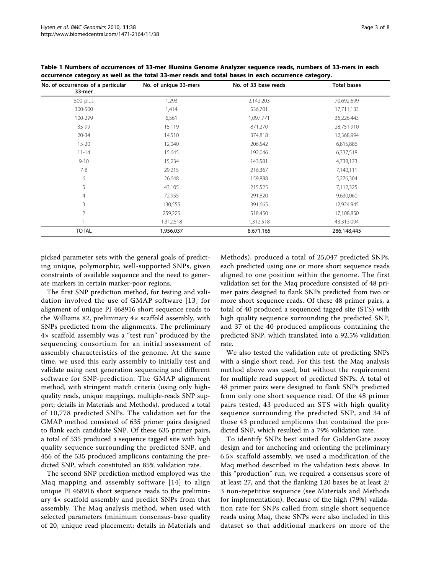| No. of occurrences of a particular<br>33-mer | No. of unique 33-mers | No. of 33 base reads | <b>Total bases</b> |
|----------------------------------------------|-----------------------|----------------------|--------------------|
| 500 plus                                     | 1,293                 | 2,142,203            | 70,692,699         |
| 300-500                                      | 1,414                 | 536,701              | 17,711,133         |
| 100-299                                      | 6,561                 | 1,097,771            | 36,226,443         |
| 35-99                                        | 15,119                | 871,270              | 28,751,910         |
| $20 - 34$                                    | 14,510                | 374,818              | 12,368,994         |
| $15 - 20$                                    | 12,040                | 206,542              | 6,815,886          |
| $11 - 14$                                    | 15,645                | 192,046              | 6,337,518          |
| $9 - 10$                                     | 15,234                | 143,581              | 4,738,173          |
| $7 - 8$                                      | 29,215                | 216,367              | 7,140,111          |
| 6                                            | 26,648                | 159,888              | 5,276,304          |
| 5                                            | 43,105                | 215,525              | 7,112,325          |
| $\overline{4}$                               | 72,955                | 291,820              | 9,630,060          |
| 3                                            | 130,555               | 391,665              | 12,924,945         |
| 2                                            | 259,225               | 518,450              | 17,108,850         |
|                                              | 1,312,518             | 1,312,518            | 43,313,094         |
| <b>TOTAL</b>                                 | 1,956,037             | 8,671,165            | 286,148,445        |

<span id="page-4-0"></span>Table 1 Numbers of occurrences of 33-mer Illumina Genome Analyzer sequence reads, numbers of 33-mers in each occurrence category as well as the total 33-mer reads and total bases in each occurrence category.

picked parameter sets with the general goals of predicting unique, polymorphic, well-supported SNPs, given constraints of available sequence and the need to generate markers in certain marker-poor regions.

The first SNP prediction method, for testing and validation involved the use of GMAP software [[13\]](#page-9-0) for alignment of unique PI 468916 short sequence reads to the Williams 82, preliminary  $4 \times$  scaffold assembly, with SNPs predicted from the alignments. The preliminary 4× scaffold assembly was a "test run" produced by the sequencing consortium for an initial assessment of assembly characteristics of the genome. At the same time, we used this early assembly to initially test and validate using next generation sequencing and different software for SNP-prediction. The GMAP alignment method, with stringent match criteria (using only highquality reads, unique mappings, multiple-reads SNP support; details in Materials and Methods), produced a total of 10,778 predicted SNPs. The validation set for the GMAP method consisted of 635 primer pairs designed to flank each candidate SNP. Of these 635 primer pairs, a total of 535 produced a sequence tagged site with high quality sequence surrounding the predicted SNP, and 456 of the 535 produced amplicons containing the predicted SNP, which constituted an 85% validation rate.

The second SNP prediction method employed was the Maq mapping and assembly software [[14](#page-9-0)] to align unique PI 468916 short sequence reads to the preliminary 4× scaffold assembly and predict SNPs from that assembly. The Maq analysis method, when used with selected parameters (minimum consensus-base quality of 20, unique read placement; details in Materials and Methods), produced a total of 25,047 predicted SNPs, each predicted using one or more short sequence reads aligned to one position within the genome. The first validation set for the Maq procedure consisted of 48 primer pairs designed to flank SNPs predicted from two or more short sequence reads. Of these 48 primer pairs, a total of 40 produced a sequenced tagged site (STS) with high quality sequence surrounding the predicted SNP, and 37 of the 40 produced amplicons containing the predicted SNP, which translated into a 92.5% validation rate.

We also tested the validation rate of predicting SNPs with a single short read. For this test, the Maq analysis method above was used, but without the requirement for multiple read support of predicted SNPs. A total of 48 primer pairs were designed to flank SNPs predicted from only one short sequence read. Of the 48 primer pairs tested, 43 produced an STS with high quality sequence surrounding the predicted SNP, and 34 of those 43 produced amplicons that contained the predicted SNP, which resulted in a 79% validation rate.

To identify SNPs best suited for GoldenGate assay design and for anchoring and orienting the preliminary 6.5× scaffold assembly, we used a modification of the Maq method described in the validation tests above. In this "production" run, we required a consensus score of at least 27, and that the flanking 120 bases be at least 2/ 3 non-repetitive sequence (see Materials and Methods for implementation). Because of the high (79%) validation rate for SNPs called from single short sequence reads using Maq, these SNPs were also included in this dataset so that additional markers on more of the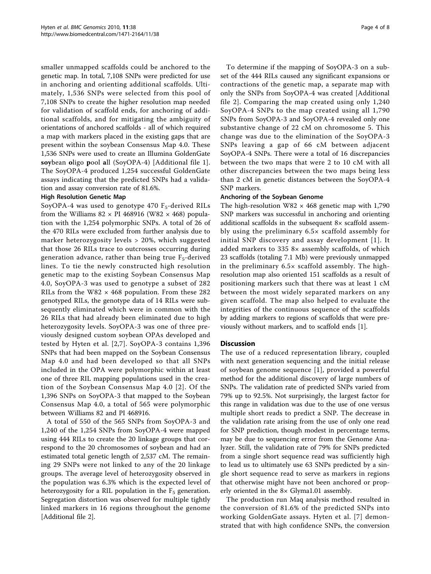smaller unmapped scaffolds could be anchored to the genetic map. In total, 7,108 SNPs were predicted for use in anchoring and orienting additional scaffolds. Ultimately, 1,536 SNPs were selected from this pool of 7,108 SNPs to create the higher resolution map needed for validation of scaffold ends, for anchoring of additional scaffolds, and for mitigating the ambiguity of orientations of anchored scaffolds - all of which required a map with markers placed in the existing gaps that are present within the soybean Consensus Map 4.0. These 1,536 SNPs were used to create an Illumina GoldenGate soybean oligo pool all (SoyOPA-4) [Additional file [1](#page-8-0)]. The SoyOPA-4 produced 1,254 successful GoldenGate assays indicating that the predicted SNPs had a validation and assay conversion rate of 81.6%.

#### High Resolution Genetic Map

SoyOPA-4 was used to genotype  $470$  F<sub>5</sub>-derived RILs from the Williams  $82 \times$  PI 468916 (W82  $\times$  468) population with the 1,254 polymorphic SNPs. A total of 26 of the 470 RILs were excluded from further analysis due to marker heterozygosity levels > 20%, which suggested that those 26 RILs trace to outcrosses occurring during generation advance, rather than being true  $F_5$ -derived lines. To tie the newly constructed high resolution genetic map to the existing Soybean Consensus Map 4.0, SoyOPA-3 was used to genotype a subset of 282 RILs from the W82  $\times$  468 population. From these 282 genotyped RILs, the genotype data of 14 RILs were subsequently eliminated which were in common with the 26 RILs that had already been eliminated due to high heterozygosity levels. SoyOPA-3 was one of three previously designed custom soybean OPAs developed and tested by Hyten et al. [\[2,](#page-8-0)[7](#page-9-0)]. SoyOPA-3 contains 1,396 SNPs that had been mapped on the Soybean Consensus Map 4.0 and had been developed so that all SNPs included in the OPA were polymorphic within at least one of three RIL mapping populations used in the creation of the Soybean Consensus Map 4.0 [[2\]](#page-8-0). Of the 1,396 SNPs on SoyOPA-3 that mapped to the Soybean Consensus Map 4.0, a total of 565 were polymorphic between Williams 82 and PI 468916.

A total of 550 of the 565 SNPs from SoyOPA-3 and 1,240 of the 1,254 SNPs from SoyOPA-4 were mapped using 444 RILs to create the 20 linkage groups that correspond to the 20 chromosomes of soybean and had an estimated total genetic length of 2,537 cM. The remaining 29 SNPs were not linked to any of the 20 linkage groups. The average level of heterozygosity observed in the population was 6.3% which is the expected level of heterozygosity for a RIL population in the  $F_5$  generation. Segregation distortion was observed for multiple tightly linked markers in 16 regions throughout the genome [Additional file [2](#page-8-0)].

To determine if the mapping of SoyOPA-3 on a subset of the 444 RILs caused any significant expansions or contractions of the genetic map, a separate map with only the SNPs from SoyOPA-4 was created [Additional file [2](#page-8-0)]. Comparing the map created using only 1,240 SoyOPA-4 SNPs to the map created using all 1,790 SNPs from SoyOPA-3 and SoyOPA-4 revealed only one substantive change of 22 cM on chromosome 5. This change was due to the elimination of the SoyOPA-3 SNPs leaving a gap of 66 cM between adjacent SoyOPA-4 SNPs. There were a total of 16 discrepancies between the two maps that were 2 to 10 cM with all other discrepancies between the two maps being less than 2 cM in genetic distances between the SoyOPA-4 SNP markers.

#### Anchoring of the Soybean Genome

The high-resolution  $W82 \times 468$  genetic map with 1,790 SNP markers was successful in anchoring and orienting additional scaffolds in the subsequent 8× scaffold assembly using the preliminary 6.5× scaffold assembly for initial SNP discovery and assay development [[1\]](#page-8-0). It added markers to 335 8× assembly scaffolds, of which 23 scaffolds (totaling 7.1 Mb) were previously unmapped in the preliminary  $6.5 \times$  scaffold assembly. The highresolution map also oriented 151 scaffolds as a result of positioning markers such that there was at least 1 cM between the most widely separated markers on any given scaffold. The map also helped to evaluate the integrities of the continuous sequence of the scaffolds by adding markers to regions of scaffolds that were previously without markers, and to scaffold ends [[1\]](#page-8-0).

#### **Discussion**

The use of a reduced representation library, coupled with next generation sequencing and the initial release of soybean genome sequence [\[1](#page-8-0)], provided a powerful method for the additional discovery of large numbers of SNPs. The validation rate of predicted SNPs varied from 79% up to 92.5%. Not surprisingly, the largest factor for this range in validation was due to the use of one versus multiple short reads to predict a SNP. The decrease in the validation rate arising from the use of only one read for SNP prediction, though modest in percentage terms, may be due to sequencing error from the Genome Analyzer. Still, the validation rate of 79% for SNPs predicted from a single short sequence read was sufficiently high to lead us to ultimately use 63 SNPs predicted by a single short sequence read to serve as markers in regions that otherwise might have not been anchored or properly oriented in the 8× Glyma1.01 assembly.

The production run Maq analysis method resulted in the conversion of 81.6% of the predicted SNPs into working GoldenGate assays. Hyten et al. [[7\]](#page-9-0) demonstrated that with high confidence SNPs, the conversion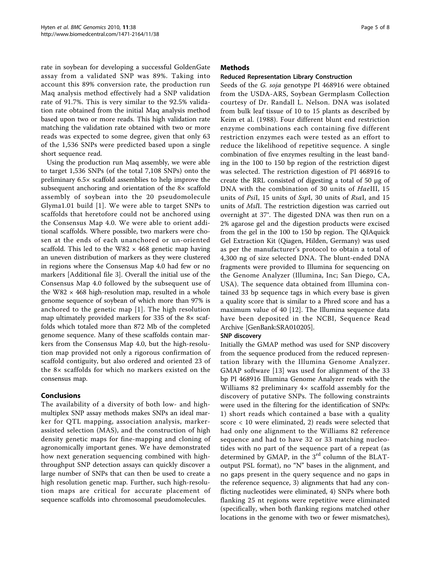rate in soybean for developing a successful GoldenGate assay from a validated SNP was 89%. Taking into account this 89% conversion rate, the production run Maq analysis method effectively had a SNP validation rate of 91.7%. This is very similar to the 92.5% validation rate obtained from the initial Maq analysis method based upon two or more reads. This high validation rate matching the validation rate obtained with two or more reads was expected to some degree, given that only 63 of the 1,536 SNPs were predicted based upon a single short sequence read.

Using the production run Maq assembly, we were able to target 1,536 SNPs (of the total 7,108 SNPs) onto the preliminary 6.5× scaffold assemblies to help improve the subsequent anchoring and orientation of the 8× scaffold assembly of soybean into the 20 pseudomolecule Glyma1.01 build [[1\]](#page-8-0). We were able to target SNPs to scaffolds that heretofore could not be anchored using the Consensus Map 4.0. We were able to orient additional scaffolds. Where possible, two markers were chosen at the ends of each unanchored or un-oriented scaffold. This led to the W82  $\times$  468 genetic map having an uneven distribution of markers as they were clustered in regions where the Consensus Map 4.0 had few or no markers [Additional file [3](#page-8-0)]. Overall the initial use of the Consensus Map 4.0 followed by the subsequent use of the W82  $\times$  468 high-resolution map, resulted in a whole genome sequence of soybean of which more than 97% is anchored to the genetic map [[1\]](#page-8-0). The high resolution map ultimately provided markers for 335 of the 8× scaffolds which totaled more than 872 Mb of the completed genome sequence. Many of these scaffolds contain markers from the Consensus Map 4.0, but the high-resolution map provided not only a rigorous confirmation of scaffold contiguity, but also ordered and oriented 23 of the 8× scaffolds for which no markers existed on the consensus map.

# Conclusions

The availability of a diversity of both low- and highmultiplex SNP assay methods makes SNPs an ideal marker for QTL mapping, association analysis, markerassisted selection (MAS), and the construction of high density genetic maps for fine-mapping and cloning of agronomically important genes. We have demonstrated how next generation sequencing combined with highthroughput SNP detection assays can quickly discover a large number of SNPs that can then be used to create a high resolution genetic map. Further, such high-resolution maps are critical for accurate placement of sequence scaffolds into chromosomal pseudomolecules.

## Methods

### Reduced Representation Library Construction

Seeds of the G. soja genotype PI 468916 were obtained from the USDA-ARS, Soybean Germplasm Collection courtesy of Dr. Randall L. Nelson. DNA was isolated from bulk leaf tissue of 10 to 15 plants as described by Keim et al. (1988). Four different blunt end restriction enzyme combinations each containing five different restriction enzymes each were tested as an effort to reduce the likelihood of repetitive sequence. A single combination of five enzymes resulting in the least banding in the 100 to 150 bp region of the restriction digest was selected. The restriction digestion of PI 468916 to create the RRL consisted of digesting a total of 50 μg of DNA with the combination of 30 units of HaeIII, 15 units of PsiI, 15 units of SspI, 30 units of RsaI, and 15 units of MslI. The restriction digestion was carried out overnight at 37°. The digested DNA was then run on a 2% agarose gel and the digestion products were excised from the gel in the 100 to 150 bp region. The QIAquick Gel Extraction Kit (Qiagen, Hilden, Germany) was used as per the manufacturer's protocol to obtain a total of 4,300 ng of size selected DNA. The blunt-ended DNA fragments were provided to Illumina for sequencing on the Genome Analyzer (Illumina, Inc; San Diego, CA, USA). The sequence data obtained from Illumina contained 33 bp sequence tags in which every base is given a quality score that is similar to a Phred score and has a maximum value of 40 [\[12](#page-9-0)]. The Illumina sequence data have been deposited in the NCBI, Sequence Read Archive [GenBank:SRA010205].

## SNP discovery

Initially the GMAP method was used for SNP discovery from the sequence produced from the reduced representation library with the Illumina Genome Analyzer. GMAP software [[13](#page-9-0)] was used for alignment of the 33 bp PI 468916 Illumina Genome Analyzer reads with the Williams 82 preliminary 4× scaffold assembly for the discovery of putative SNPs. The following constraints were used in the filtering for the identification of SNPs: 1) short reads which contained a base with a quality score < 10 were eliminated, 2) reads were selected that had only one alignment to the Williams 82 reference sequence and had to have 32 or 33 matching nucleotides with no part of the sequence part of a repeat (as determined by GMAP, in the  $3<sup>rd</sup>$  column of the BLAToutput PSL format), no "N" bases in the alignment, and no gaps present in the query sequence and no gaps in the reference sequence, 3) alignments that had any conflicting nucleotides were eliminated, 4) SNPs where both flanking 25 nt regions were repetitive were eliminated (specifically, when both flanking regions matched other locations in the genome with two or fewer mismatches),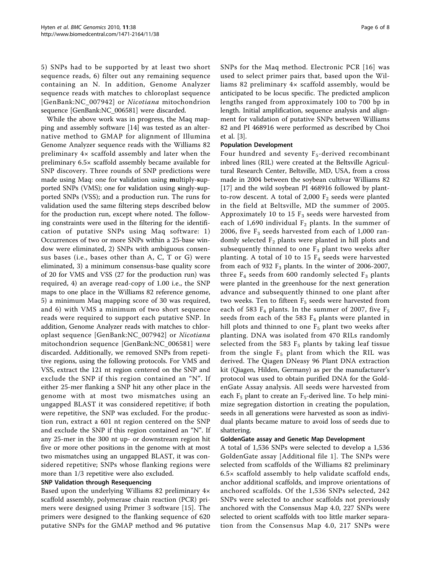5) SNPs had to be supported by at least two short sequence reads, 6) filter out any remaining sequence containing an N. In addition, Genome Analyzer sequence reads with matches to chloroplast sequence [GenBank:NC\_007942] or Nicotiana mitochondrion sequence [GenBank:NC\_006581] were discarded.

While the above work was in progress, the Maq mapping and assembly software [[14\]](#page-9-0) was tested as an alternative method to GMAP for alignment of Illumina Genome Analyzer sequence reads with the Williams 82 preliminary 4× scaffold assembly and later when the preliminary 6.5× scaffold assembly became available for SNP discovery. Three rounds of SNP predictions were made using Maq: one for validation using multiply-supported SNPs (VMS); one for validation using singly-supported SNPs (VSS); and a production run. The runs for validation used the same filtering steps described below for the production run, except where noted. The following constraints were used in the filtering for the identification of putative SNPs using Maq software: 1) Occurrences of two or more SNPs within a 25-base window were eliminated, 2) SNPs with ambiguous consensus bases (i.e., bases other than A, C, T or G) were eliminated, 3) a minimum consensus-base quality score of 20 for VMS and VSS (27 for the production run) was required, 4) an average read-copy of 1.00 i.e., the SNP maps to one place in the Williams 82 reference genome, 5) a minimum Maq mapping score of 30 was required, and 6) with VMS a minimum of two short sequence reads were required to support each putative SNP. In addition, Genome Analyzer reads with matches to chloroplast sequence [GenBank:NC\_007942] or Nicotiana mitochondrion sequence [GenBank:NC\_006581] were discarded. Additionally, we removed SNPs from repetitive regions, using the following protocols. For VMS and VSS, extract the 121 nt region centered on the SNP and exclude the SNP if this region contained an "N". If either 25-mer flanking a SNP hit any other place in the genome with at most two mismatches using an ungapped BLAST it was considered repetitive; if both were repetitive, the SNP was excluded. For the production run, extract a 601 nt region centered on the SNP and exclude the SNP if this region contained an "N". If any 25-mer in the 300 nt up- or downstream region hit five or more other positions in the genome with at most two mismatches using an ungapped BLAST, it was considered repetitive; SNPs whose flanking regions were more than 1/3 repetitive were also excluded.

#### SNP Validation through Resequencing

Based upon the underlying Williams 82 preliminary 4× scaffold assembly, polymerase chain reaction (PCR) primers were designed using Primer 3 software [[15\]](#page-9-0). The primers were designed to the flanking sequence of 620 putative SNPs for the GMAP method and 96 putative SNPs for the Maq method. Electronic PCR [[16\]](#page-9-0) was used to select primer pairs that, based upon the Williams 82 preliminary 4× scaffold assembly, would be anticipated to be locus specific. The predicted amplicon lengths ranged from approximately 100 to 700 bp in length. Initial amplification, sequence analysis and alignment for validation of putative SNPs between Williams 82 and PI 468916 were performed as described by Choi et al. [[3\]](#page-8-0).

## Population Development

Four hundred and seventy  $F_5$ -derived recombinant inbred lines (RIL) were created at the Beltsville Agricultural Research Center, Beltsville, MD, USA, from a cross made in 2004 between the soybean cultivar Williams 82 [[17\]](#page-9-0) and the wild soybean PI 468916 followed by plantto-row descent. A total of 2,000  $F_2$  seeds were planted in the field at Beltsville, MD the summer of 2005. Approximately 10 to 15  $F_3$  seeds were harvested from each of 1,690 individual  $F_2$  plants. In the summer of 2006, five  $F_3$  seeds harvested from each of 1,000 randomly selected  $F_2$  plants were planted in hill plots and subsequently thinned to one  $F_3$  plant two weeks after planting. A total of 10 to 15  $F_4$  seeds were harvested from each of 932  $F_3$  plants. In the winter of 2006-2007, three  $F_4$  seeds from 600 randomly selected  $F_3$  plants were planted in the greenhouse for the next generation advance and subsequently thinned to one plant after two weeks. Ten to fifteen  $F_5$  seeds were harvested from each of 583  $F_4$  plants. In the summer of 2007, five  $F_5$ seeds from each of the 583  $F_4$  plants were planted in hill plots and thinned to one  $F_5$  plant two weeks after planting. DNA was isolated from 470 RILs randomly selected from the 583  $F_5$  plants by taking leaf tissue from the single  $F_5$  plant from which the RIL was derived. The Qiagen DNeasy 96 Plant DNA extraction kit (Qiagen, Hilden, Germany) as per the manufacturer's protocol was used to obtain purified DNA for the GoldenGate Assay analysis. All seeds were harvested from each  $F_5$  plant to create an  $F_5$ -derived line. To help minimize segregation distortion in creating the population, seeds in all generations were harvested as soon as individual plants became mature to avoid loss of seeds due to shattering.

#### GoldenGate assay and Genetic Map Development

A total of 1,536 SNPs were selected to develop a 1,536 GoldenGate assay [Additional file [1\]](#page-8-0). The SNPs were selected from scaffolds of the Williams 82 preliminary  $6.5\times$  scaffold assembly to help validate scaffold ends, anchor additional scaffolds, and improve orientations of anchored scaffolds. Of the 1,536 SNPs selected, 242 SNPs were selected to anchor scaffolds not previously anchored with the Consensus Map 4.0, 227 SNPs were selected to orient scaffolds with too little marker separation from the Consensus Map 4.0, 217 SNPs were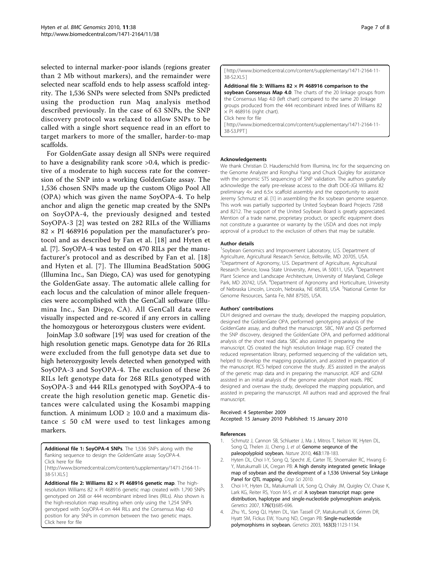<span id="page-8-0"></span>selected to internal marker-poor islands (regions greater than 2 Mb without markers), and the remainder were selected near scaffold ends to help assess scaffold integrity. The 1,536 SNPs were selected from SNPs predicted using the production run Maq analysis method described previously. In the case of 63 SNPs, the SNP discovery protocol was relaxed to allow SNPs to be called with a single short sequence read in an effort to target markers to more of the smaller, harder-to-map scaffolds.

For GoldenGate assay design all SNPs were required to have a designability rank score >0.4, which is predictive of a moderate to high success rate for the conversion of the SNP into a working GoldenGate assay. The 1,536 chosen SNPs made up the custom Oligo Pool All (OPA) which was given the name SoyOPA-4. To help anchor and align the genetic map created by the SNPs on SoyOPA-4, the previously designed and tested SoyOPA-3 [2] was tested on 282 RILs of the Williams  $82 \times$  PI 468916 population per the manufacturer's protocol and as described by Fan et al. [[18](#page-9-0)] and Hyten et al. [\[7](#page-9-0)]. SoyOPA-4 was tested on 470 RILs per the manufacturer's protocol and as described by Fan et al. [[18](#page-9-0)] and Hyten et al. [[7\]](#page-9-0). The Illumina BeadStation 500G (Illumina Inc., San Diego, CA) was used for genotyping the GoldenGate assay. The automatic allele calling for each locus and the calculation of minor allele frequencies were accomplished with the GenCall software (Illumina Inc., San Diego, CA). All GenCall data were visually inspected and re-scored if any errors in calling the homozygous or heterozygous clusters were evident.

JoinMap 3.0 software [[19](#page-9-0)] was used for creation of the high resolution genetic maps. Genotype data for 26 RILs were excluded from the full genotype data set due to high heterozygosity levels detected when genotyped with SoyOPA-3 and SoyOPA-4. The exclusion of these 26 RILs left genotype data for 268 RILs genotyped with SoyOPA-3 and 444 RILs genotyped with SoyOPA-4 to create the high resolution genetic map. Genetic distances were calculated using the Kosambi mapping function. A minimum  $LOD \geq 10.0$  and a maximum distance  $\leq 50$  cM were used to test linkages among markers.

Additional file 1: SoyOPA-4 SNPs. The 1,536 SNPs along with the flanking sequence to design the GoldenGate assay SoyOPA-4. Click here for file

[ http://www.biomedcentral.com/content/supplementary/1471-2164-11- 38-S1.XLS ]

Additional file 2: Williams 82  $\times$  PI 468916 genetic map. The highresolution Williams  $82 \times$  PI 468916 genetic map created with 1,790 SNPs genotyped on 268 or 444 recombinant inbred lines (RILs). Also shown is the high-resolution map resulting when only using the 1,254 SNPs genotyped with SoyOPA-4 on 444 RILs and the Consensus Map 4.0 position for any SNPs in common between the two genetic maps. Click here for file

#### [ http://www.biomedcentral.com/content/supplementary/1471-2164-11- 38-S2.XLS ]

Additional file 3: Williams 82  $\times$  PI 468916 comparison to the soybean Consensus Map 4.0. The charts of the 20 linkage groups from the Consensus Map 4.0 (left chart) compared to the same 20 linkage groups produced from the 444 recombinant inbred lines of Williams 82  $\times$  PI 468916 (right chart). Click here for file

[ http://www.biomedcentral.com/content/supplementary/1471-2164-11- 38-S3.PPT ]

#### Acknowledgements

We thank Christian D. Haudenschild from Illumina, Inc for the sequencing on the Genome Analyzer and Ronghui Yang and Chuck Quigley for assistance with the genomic STS sequencing of SNP validation. The authors gratefully acknowledge the early pre-release access to the draft DOE-JGI Williams 82 preliminary 4× and 6.5× scaffold assembly and the opportunity to assist Jeremy Schmutz et al. [1] in assembling the 8× soybean genome sequence. This work was partially supported by United Soybean Board Projects 7268 and 8212. The support of the United Soybean Board is greatly appreciated. Mention of a trade name, proprietary product, or specific equipment does not constitute a guarantee or warranty by the USDA and does not imply approval of a product to the exclusion of others that may be suitable.

#### Author details

<sup>1</sup>Soybean Genomics and Improvement Laboratory, U.S. Department of Agriculture, Agricultural Research Service, Beltsville, MD 20705, USA. <sup>2</sup>Department of Agronomy, U.S. Department of Agriculture, Agricultural Research Service, Iowa State University, Ames, IA 50011, USA. <sup>3</sup>Department Plant Science and Landscape Architecture, University of Maryland, College Park, MD 20742, USA. <sup>4</sup>Department of Agronomy and Horticulture, University of Nebraska Lincoln, Lincoln, Nebraska, NE 68583, USA. <sup>5</sup>National Center for Genome Resources, Santa Fe, NM 87505, USA.

#### Authors' contributions

DLH designed and oversaw the study, developed the mapping population, designed the GoldenGate OPA, performed genotyping analysis of the GoldenGate assay, and drafted the manuscript. SBC, NW and QS performed the SNP discovery, designed the GoldenGate OPA, and performed additional analysis of the short read data. SBC also assisted in preparing the manuscript. QS created the high resolution linkage map. ECF created the reduced representation library, performed sequencing of the validation sets, helped to develop the mapping population, and assisted in preparation of the manuscript. RCS helped conceive the study. JES assisted in the analysis of the genetic map data and in preparing the manuscript. ADF and GDM assisted in an initial analysis of the genome analyzer short reads. PBC designed and oversaw the study, developed the mapping population, and assisted in preparing the manuscript. All authors read and approved the final manuscript.

#### Received: 4 September 2009 Accepted: 15 January 2010 Published: 15 January 2010

#### References

- 1. Schmutz J, Cannon SB, Schlueter J, Ma J, Mitros T, Nelson W, Hyten DL, Song Q, Thelen JJ, Cheng J, et al: Genome seqeunce of the paleopolyploid soybean. Nature 2010, 463:178-183.
- 2. Hyten DL, Choi I-Y, Song Q, Specht JE, Carter TE, Shoemaker RC, Hwang E-Y, Matukumalli LK, Cregan PB: A high density integrated genetic linkage map of soybean and the development of a 1,536 Universal Soy Linkage Panel for QTL mapping. Crop Sci 2010.
- 3. Choi I-Y, Hyten DL, Matukumalli LK, Song Q, Chaky JM, Quigley CV, Chase K, Lark KG, Reiter RS, Yoon M-S, et al: A soybean transcript map: gene distribution, haplotype and single-nucleotide polymorphism analysis. Genetics 2007, 176(1):685-696.
- 4. Zhu YL, Song QJ, Hyten DL, Van Tassell CP, Matukumalli LK, Grimm DR, Hyatt SM, Fickus EW, Young ND, Cregan PB: Single-nucleotide polymorphisms in soybean. Genetics 2003, 163(3):1123-1134.